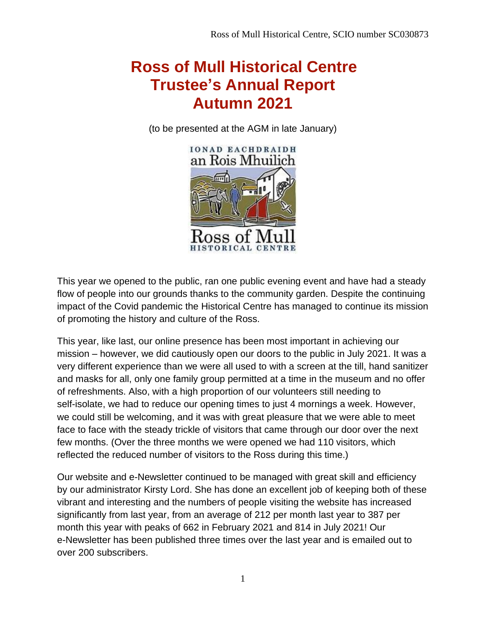## **Ross of Mull Historical Centre Trustee's Annual Report Autumn 2021**

(to be presented at the AGM in late January)



This year we opened to the public, ran one public evening event and have had a steady flow of people into our grounds thanks to the community garden. Despite the continuing impact of the Covid pandemic the Historical Centre has managed to continue its mission of promoting the history and culture of the Ross.

This year, like last, our online presence has been most important in achieving our mission – however, we did cautiously open our doors to the public in July 2021. It was a very different experience than we were all used to with a screen at the till, hand sanitizer and masks for all, only one family group permitted at a time in the museum and no offer of refreshments. Also, with a high proportion of our volunteers still needing to self-isolate, we had to reduce our opening times to just 4 mornings a week. However, we could still be welcoming, and it was with great pleasure that we were able to meet face to face with the steady trickle of visitors that came through our door over the next few months. (Over the three months we were opened we had 110 visitors, which reflected the reduced number of visitors to the Ross during this time.)

Our website and e-Newsletter continued to be managed with great skill and efficiency by our administrator Kirsty Lord. She has done an excellent job of keeping both of these vibrant and interesting and the numbers of people visiting the website has increased significantly from last year, from an average of 212 per month last year to 387 per month this year with peaks of 662 in February 2021 and 814 in July 2021! Our e-Newsletter has been published three times over the last year and is emailed out to over 200 subscribers.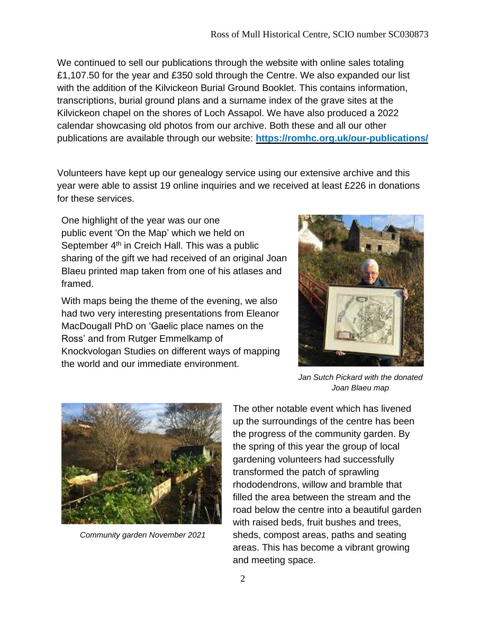We continued to sell our publications through the website with online sales totaling £1,107.50 for the year and £350 sold through the Centre. We also expanded our list with the addition of the Kilvickeon Burial Ground Booklet. This contains information, transcriptions, burial ground plans and a surname index of the grave sites at the Kilvickeon chapel on the shores of Loch Assapol. We have also produced a 2022 calendar showcasing old photos from our archive. Both these and all our other publications are available through our website: **<https://romhc.org.uk/our-publications/>**

Volunteers have kept up our genealogy service using our extensive archive and this year were able to assist 19 online inquiries and we received at least £226 in donations for these services.

One highlight of the year was our one public event 'On the Map' which we held on September 4<sup>th</sup> in Creich Hall. This was a public sharing of the gift we had received of an original Joan Blaeu printed map taken from one of his atlases and framed.

With maps being the theme of the evening, we also had two very interesting presentations from Eleanor MacDougall PhD on 'Gaelic place names on the Ross' and from Rutger Emmelkamp of Knockvologan Studies on different ways of mapping the world and our immediate environment.





*Community garden November 2021*

*Jan Sutch Pickard with the donated Joan Blaeu map*

The other notable event which has livened up the surroundings of the centre has been the progress of the community garden. By the spring of this year the group of local gardening volunteers had successfully transformed the patch of sprawling rhododendrons, willow and bramble that filled the area between the stream and the road below the centre into a beautiful garden with raised beds, fruit bushes and trees, sheds, compost areas, paths and seating areas. This has become a vibrant growing and meeting space.